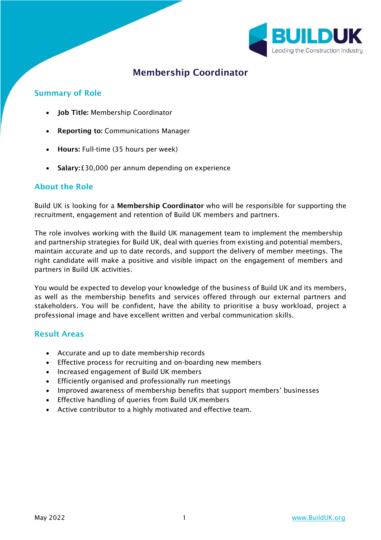

# Membership Coordinator

#### Summary of Role

- Job Title: Membership Coordinator
- Reporting to: Communications Manager
- Hours: Full-time (35 hours per week)
- Salary: £30,000 per annum depending on experience

#### About the Role

Build UK is looking for a Membership Coordinator who will be responsible for supporting the recruitment, engagement and retention of Build UK members and partners.

The role involves working with the Build UK management team to implement the membership and partnership strategies for Build UK, deal with queries from existing and potential members, maintain accurate and up to date records, and support the delivery of member meetings. The right candidate will make a positive and visible impact on the engagement of members and partners in Build UK activities.

You would be expected to develop your knowledge of the business of Build UK and its members, as well as the membership benefits and services offered through our external partners and stakeholders. You will be confident, have the ability to prioritise a busy workload, project a professional image and have excellent written and verbal communication skills.

#### Result Areas

- Accurate and up to date membership records
- Effective process for recruiting and on-boarding new members
- Increased engagement of Build UK members
- Efficiently organised and professionally run meetings
- Improved awareness of membership benefits that support members' businesses
- Effective handling of queries from Build UK members
- Active contributor to a highly motivated and effective team.